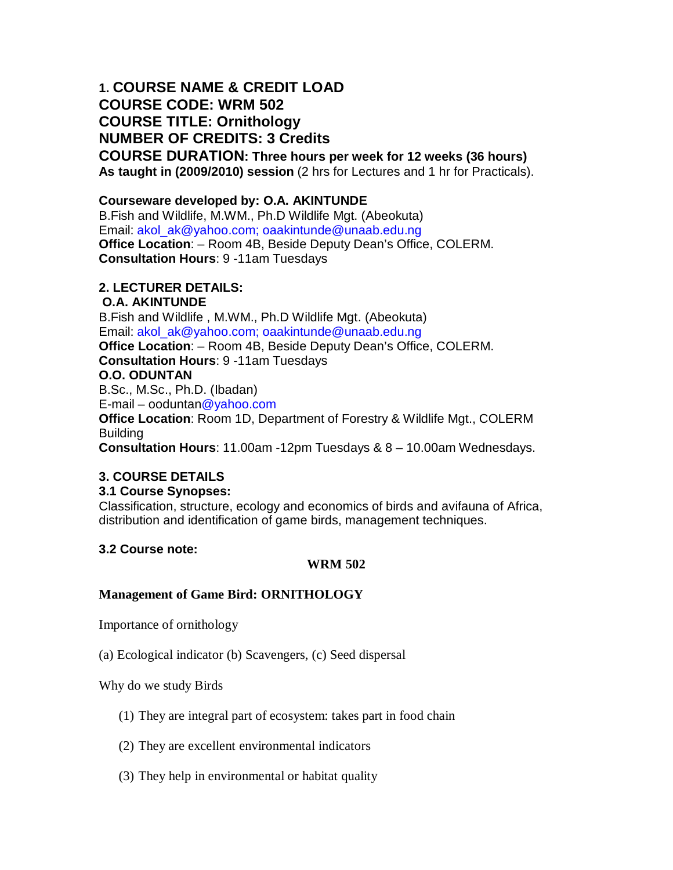# **1. COURSE NAME & CREDIT LOAD COURSE CODE: WRM 502 COURSE TITLE: Ornithology NUMBER OF CREDITS: 3 Credits**

**COURSE DURATION: Three hours per week for 12 weeks (36 hours) As taught in (2009/2010) session** (2 hrs for Lectures and 1 hr for Practicals).

# **Courseware developed by: O.A. AKINTUNDE**

B.Fish and Wildlife, M.WM., Ph.D Wildlife Mgt. (Abeokuta) Email: akol\_ak@yahoo.com; oaakintunde@unaab.edu.ng **Office Location**: – Room 4B, Beside Deputy Dean's Office, COLERM. **Consultation Hours**: 9 -11am Tuesdays

# **2. LECTURER DETAILS:**

# **O.A. AKINTUNDE**

B.Fish and Wildlife , M.WM., Ph.D Wildlife Mgt. (Abeokuta) Email: akol\_ak@yahoo.com; oaakintunde@unaab.edu.ng **Office Location**: – Room 4B, Beside Deputy Dean's Office, COLERM. **Consultation Hours**: 9 -11am Tuesdays **O.O. ODUNTAN** B.Sc., M.Sc., Ph.D. (Ibadan) E-mail – ooduntan@yahoo.com **Office Location**: Room 1D, Department of Forestry & Wildlife Mgt., COLERM Building **Consultation Hours**: 11.00am -12pm Tuesdays & 8 – 10.00am Wednesdays.

# **3. COURSE DETAILS**

# **3.1 Course Synopses:**

Classification, structure, ecology and economics of birds and avifauna of Africa, distribution and identification of game birds, management techniques.

# **3.2 Course note:**

# **WRM 502**

# **Management of Game Bird: ORNITHOLOGY**

Importance of ornithology

(a) Ecological indicator (b) Scavengers, (c) Seed dispersal

Why do we study Birds

- (1) They are integral part of ecosystem: takes part in food chain
- (2) They are excellent environmental indicators
- (3) They help in environmental or habitat quality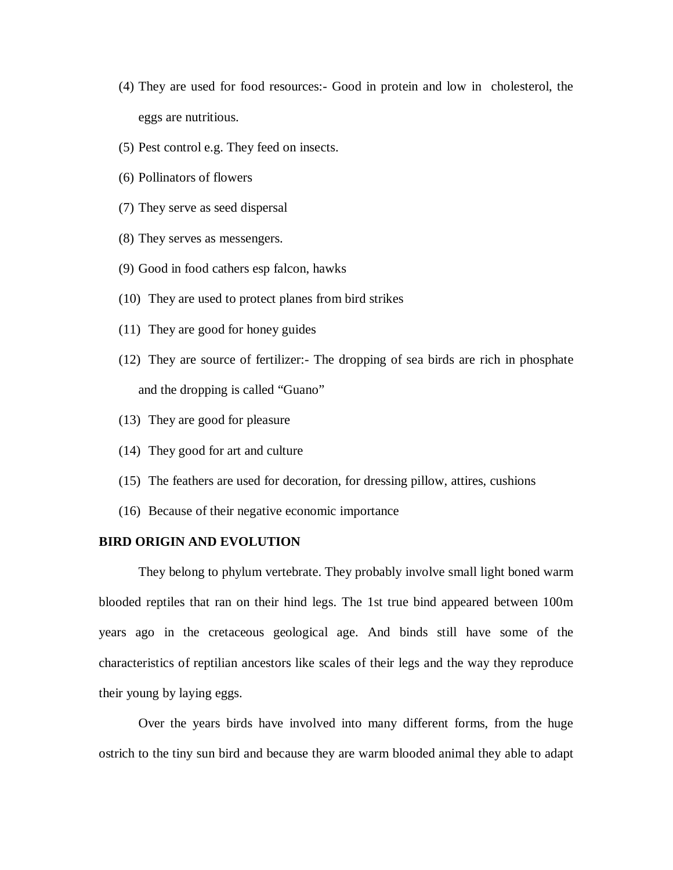- (4) They are used for food resources:- Good in protein and low in cholesterol, the eggs are nutritious.
- (5) Pest control e.g. They feed on insects.
- (6) Pollinators of flowers
- (7) They serve as seed dispersal
- (8) They serves as messengers.
- (9) Good in food cathers esp falcon, hawks
- (10) They are used to protect planes from bird strikes
- (11) They are good for honey guides
- (12) They are source of fertilizer:- The dropping of sea birds are rich in phosphate and the dropping is called "Guano"
- (13) They are good for pleasure
- (14) They good for art and culture
- (15) The feathers are used for decoration, for dressing pillow, attires, cushions
- (16) Because of their negative economic importance

### **BIRD ORIGIN AND EVOLUTION**

They belong to phylum vertebrate. They probably involve small light boned warm blooded reptiles that ran on their hind legs. The 1st true bind appeared between 100m years ago in the cretaceous geological age. And binds still have some of the characteristics of reptilian ancestors like scales of their legs and the way they reproduce their young by laying eggs.

Over the years birds have involved into many different forms, from the huge ostrich to the tiny sun bird and because they are warm blooded animal they able to adapt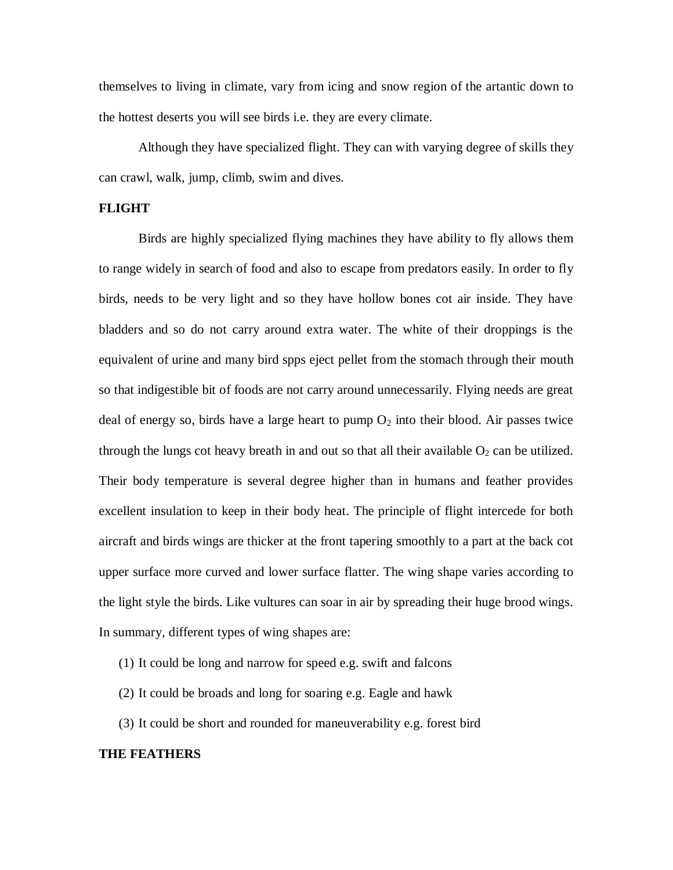themselves to living in climate, vary from icing and snow region of the artantic down to the hottest deserts you will see birds i.e. they are every climate.

Although they have specialized flight. They can with varying degree of skills they can crawl, walk, jump, climb, swim and dives.

# **FLIGHT**

Birds are highly specialized flying machines they have ability to fly allows them to range widely in search of food and also to escape from predators easily. In order to fly birds, needs to be very light and so they have hollow bones cot air inside. They have bladders and so do not carry around extra water. The white of their droppings is the equivalent of urine and many bird spps eject pellet from the stomach through their mouth so that indigestible bit of foods are not carry around unnecessarily. Flying needs are great deal of energy so, birds have a large heart to pump  $O_2$  into their blood. Air passes twice through the lungs cot heavy breath in and out so that all their available  $O_2$  can be utilized. Their body temperature is several degree higher than in humans and feather provides excellent insulation to keep in their body heat. The principle of flight intercede for both aircraft and birds wings are thicker at the front tapering smoothly to a part at the back cot upper surface more curved and lower surface flatter. The wing shape varies according to the light style the birds. Like vultures can soar in air by spreading their huge brood wings. In summary, different types of wing shapes are:

- (1) It could be long and narrow for speed e.g. swift and falcons
- (2) It could be broads and long for soaring e.g. Eagle and hawk
- (3) It could be short and rounded for maneuverability e.g. forest bird

#### **THE FEATHERS**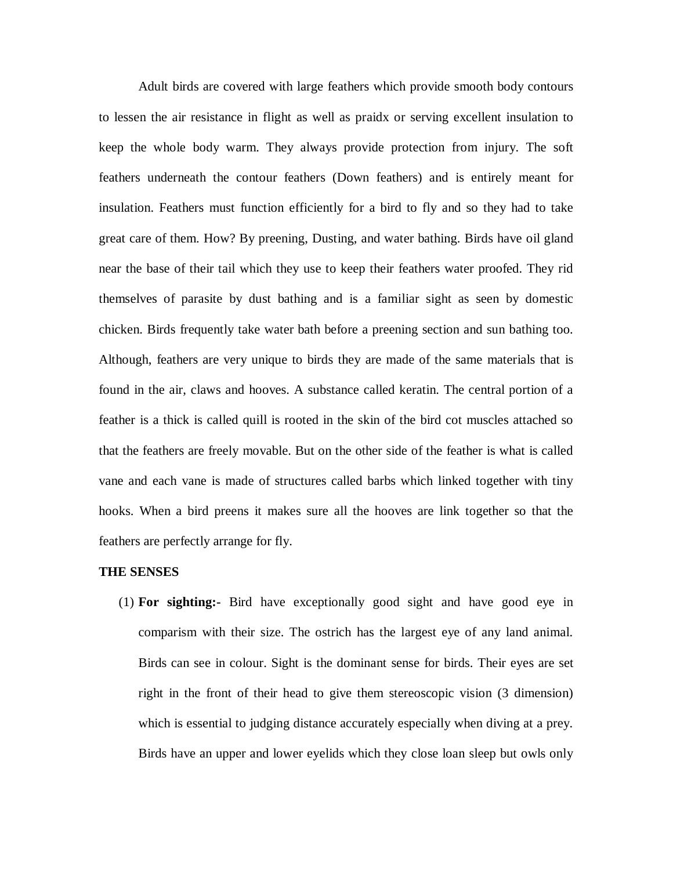Adult birds are covered with large feathers which provide smooth body contours to lessen the air resistance in flight as well as praidx or serving excellent insulation to keep the whole body warm. They always provide protection from injury. The soft feathers underneath the contour feathers (Down feathers) and is entirely meant for insulation. Feathers must function efficiently for a bird to fly and so they had to take great care of them. How? By preening, Dusting, and water bathing. Birds have oil gland near the base of their tail which they use to keep their feathers water proofed. They rid themselves of parasite by dust bathing and is a familiar sight as seen by domestic chicken. Birds frequently take water bath before a preening section and sun bathing too. Although, feathers are very unique to birds they are made of the same materials that is found in the air, claws and hooves. A substance called keratin. The central portion of a feather is a thick is called quill is rooted in the skin of the bird cot muscles attached so that the feathers are freely movable. But on the other side of the feather is what is called vane and each vane is made of structures called barbs which linked together with tiny hooks. When a bird preens it makes sure all the hooves are link together so that the feathers are perfectly arrange for fly.

#### **THE SENSES**

(1) **For sighting:-** Bird have exceptionally good sight and have good eye in comparism with their size. The ostrich has the largest eye of any land animal. Birds can see in colour. Sight is the dominant sense for birds. Their eyes are set right in the front of their head to give them stereoscopic vision (3 dimension) which is essential to judging distance accurately especially when diving at a prey. Birds have an upper and lower eyelids which they close loan sleep but owls only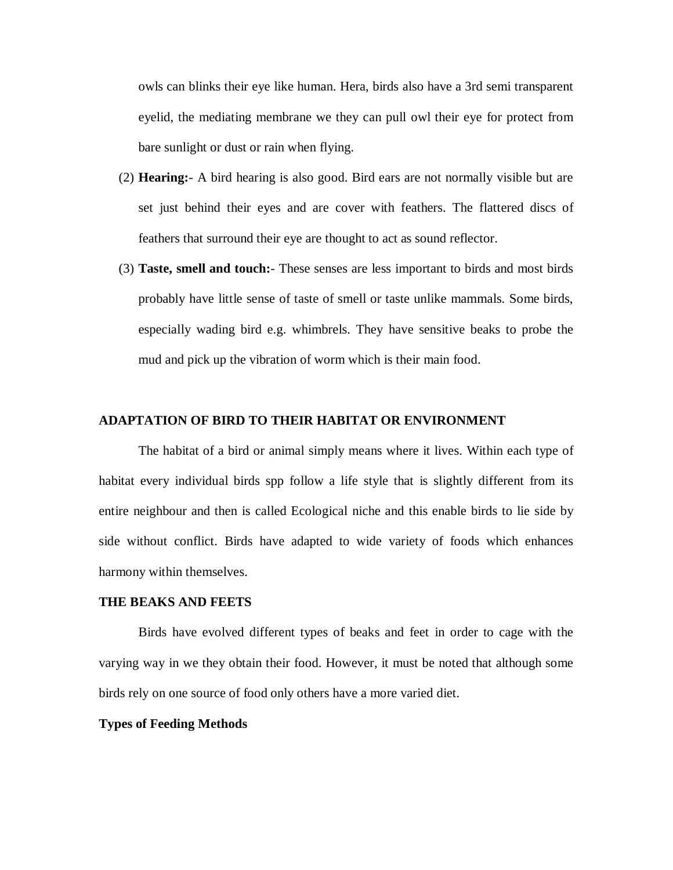owls can blinks their eye like human. Hera, birds also have a 3rd semi transparent eyelid, the mediating membrane we they can pull owl their eye for protect from bare sunlight or dust or rain when flying.

- (2) **Hearing:** A bird hearing is also good. Bird ears are not normally visible but are set just behind their eyes and are cover with feathers. The flattered discs of feathers that surround their eye are thought to act as sound reflector.
- (3) **Taste, smell and touch:** These senses are less important to birds and most birds probably have little sense of taste of smell or taste unlike mammals. Some birds, especially wading bird e.g. whimbrels. They have sensitive beaks to probe the mud and pick up the vibration of worm which is their main food.

### **ADAPTATION OF BIRD TO THEIR HABITAT OR ENVIRONMENT**

The habitat of a bird or animal simply means where it lives. Within each type of habitat every individual birds spp follow a life style that is slightly different from its entire neighbour and then is called Ecological niche and this enable birds to lie side by side without conflict. Birds have adapted to wide variety of foods which enhances harmony within themselves.

### **THE BEAKS AND FEETS**

Birds have evolved different types of beaks and feet in order to cage with the varying way in we they obtain their food. However, it must be noted that although some birds rely on one source of food only others have a more varied diet.

# **Types of Feeding Methods**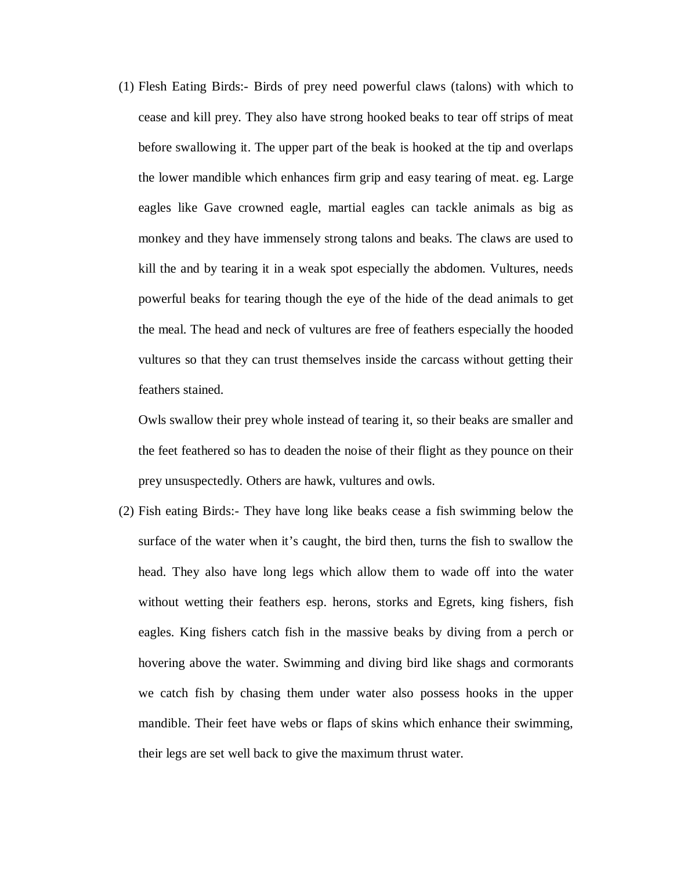(1) Flesh Eating Birds:- Birds of prey need powerful claws (talons) with which to cease and kill prey. They also have strong hooked beaks to tear off strips of meat before swallowing it. The upper part of the beak is hooked at the tip and overlaps the lower mandible which enhances firm grip and easy tearing of meat. eg. Large eagles like Gave crowned eagle, martial eagles can tackle animals as big as monkey and they have immensely strong talons and beaks. The claws are used to kill the and by tearing it in a weak spot especially the abdomen. Vultures, needs powerful beaks for tearing though the eye of the hide of the dead animals to get the meal. The head and neck of vultures are free of feathers especially the hooded vultures so that they can trust themselves inside the carcass without getting their feathers stained.

Owls swallow their prey whole instead of tearing it, so their beaks are smaller and the feet feathered so has to deaden the noise of their flight as they pounce on their prey unsuspectedly. Others are hawk, vultures and owls.

(2) Fish eating Birds:- They have long like beaks cease a fish swimming below the surface of the water when it's caught, the bird then, turns the fish to swallow the head. They also have long legs which allow them to wade off into the water without wetting their feathers esp. herons, storks and Egrets, king fishers, fish eagles. King fishers catch fish in the massive beaks by diving from a perch or hovering above the water. Swimming and diving bird like shags and cormorants we catch fish by chasing them under water also possess hooks in the upper mandible. Their feet have webs or flaps of skins which enhance their swimming, their legs are set well back to give the maximum thrust water.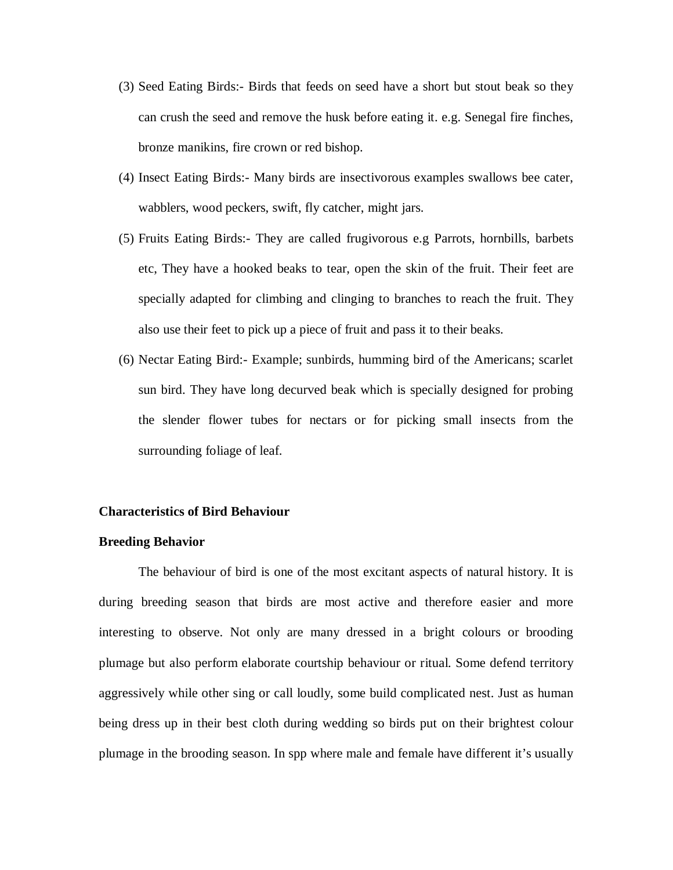- (3) Seed Eating Birds:- Birds that feeds on seed have a short but stout beak so they can crush the seed and remove the husk before eating it. e.g. Senegal fire finches, bronze manikins, fire crown or red bishop.
- (4) Insect Eating Birds:- Many birds are insectivorous examples swallows bee cater, wabblers, wood peckers, swift, fly catcher, might jars.
- (5) Fruits Eating Birds:- They are called frugivorous e.g Parrots, hornbills, barbets etc, They have a hooked beaks to tear, open the skin of the fruit. Their feet are specially adapted for climbing and clinging to branches to reach the fruit. They also use their feet to pick up a piece of fruit and pass it to their beaks.
- (6) Nectar Eating Bird:- Example; sunbirds, humming bird of the Americans; scarlet sun bird. They have long decurved beak which is specially designed for probing the slender flower tubes for nectars or for picking small insects from the surrounding foliage of leaf.

#### **Characteristics of Bird Behaviour**

#### **Breeding Behavior**

The behaviour of bird is one of the most excitant aspects of natural history. It is during breeding season that birds are most active and therefore easier and more interesting to observe. Not only are many dressed in a bright colours or brooding plumage but also perform elaborate courtship behaviour or ritual. Some defend territory aggressively while other sing or call loudly, some build complicated nest. Just as human being dress up in their best cloth during wedding so birds put on their brightest colour plumage in the brooding season. In spp where male and female have different it's usually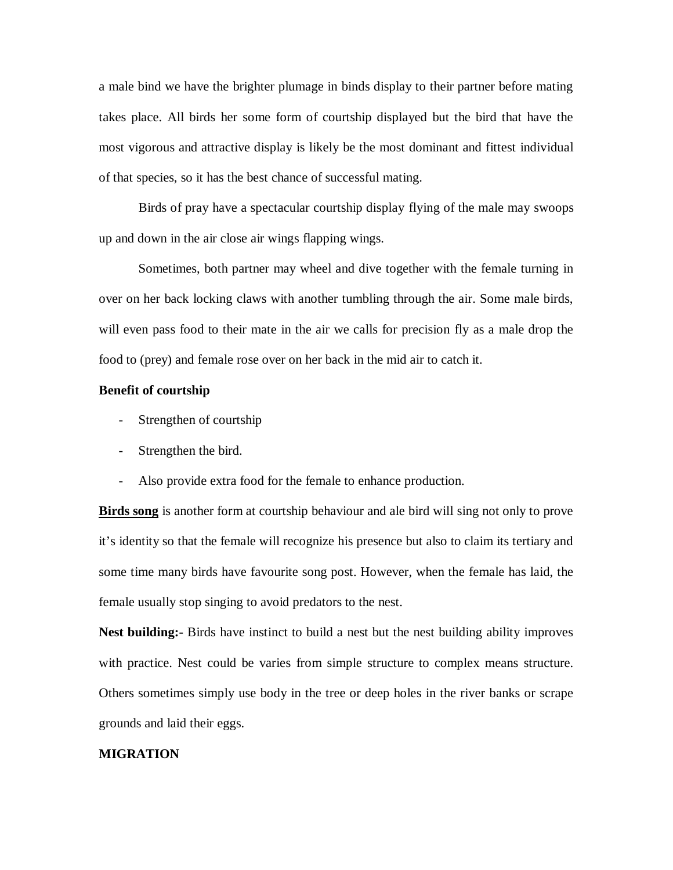a male bind we have the brighter plumage in binds display to their partner before mating takes place. All birds her some form of courtship displayed but the bird that have the most vigorous and attractive display is likely be the most dominant and fittest individual of that species, so it has the best chance of successful mating.

Birds of pray have a spectacular courtship display flying of the male may swoops up and down in the air close air wings flapping wings.

Sometimes, both partner may wheel and dive together with the female turning in over on her back locking claws with another tumbling through the air. Some male birds, will even pass food to their mate in the air we calls for precision fly as a male drop the food to (prey) and female rose over on her back in the mid air to catch it.

# **Benefit of courtship**

- Strengthen of courtship
- Strengthen the bird.
- Also provide extra food for the female to enhance production.

**Birds song** is another form at courtship behaviour and ale bird will sing not only to prove it's identity so that the female will recognize his presence but also to claim its tertiary and some time many birds have favourite song post. However, when the female has laid, the female usually stop singing to avoid predators to the nest.

**Nest building:-** Birds have instinct to build a nest but the nest building ability improves with practice. Nest could be varies from simple structure to complex means structure. Others sometimes simply use body in the tree or deep holes in the river banks or scrape grounds and laid their eggs.

#### **MIGRATION**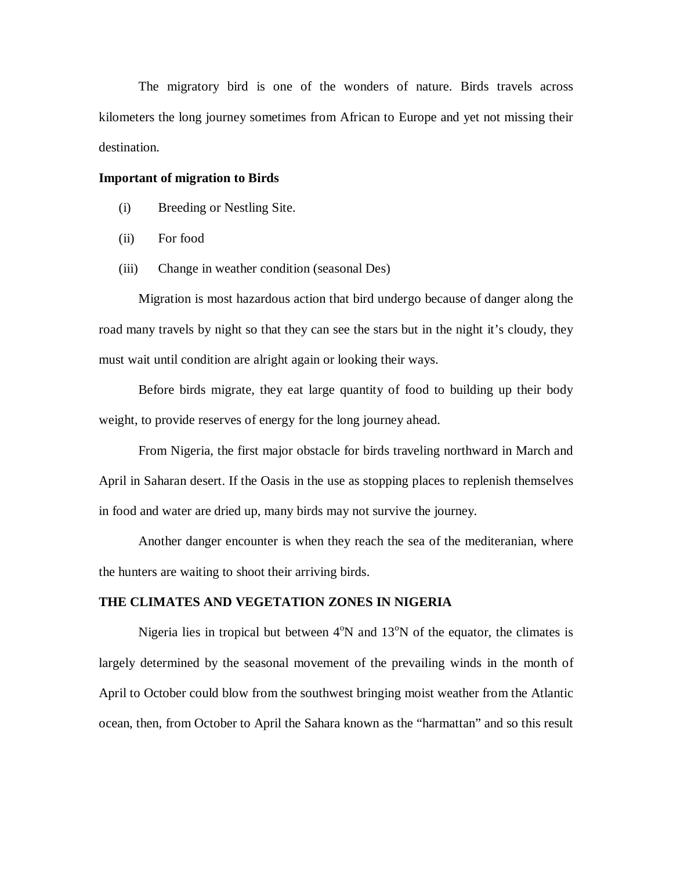The migratory bird is one of the wonders of nature. Birds travels across kilometers the long journey sometimes from African to Europe and yet not missing their destination.

### **Important of migration to Birds**

- (i) Breeding or Nestling Site.
- (ii) For food
- (iii) Change in weather condition (seasonal Des)

Migration is most hazardous action that bird undergo because of danger along the road many travels by night so that they can see the stars but in the night it's cloudy, they must wait until condition are alright again or looking their ways.

Before birds migrate, they eat large quantity of food to building up their body weight, to provide reserves of energy for the long journey ahead.

From Nigeria, the first major obstacle for birds traveling northward in March and April in Saharan desert. If the Oasis in the use as stopping places to replenish themselves in food and water are dried up, many birds may not survive the journey.

Another danger encounter is when they reach the sea of the mediteranian, where the hunters are waiting to shoot their arriving birds.

# **THE CLIMATES AND VEGETATION ZONES IN NIGERIA**

Nigeria lies in tropical but between  $4^{\circ}N$  and  $13^{\circ}N$  of the equator, the climates is largely determined by the seasonal movement of the prevailing winds in the month of April to October could blow from the southwest bringing moist weather from the Atlantic ocean, then, from October to April the Sahara known as the "harmattan" and so this result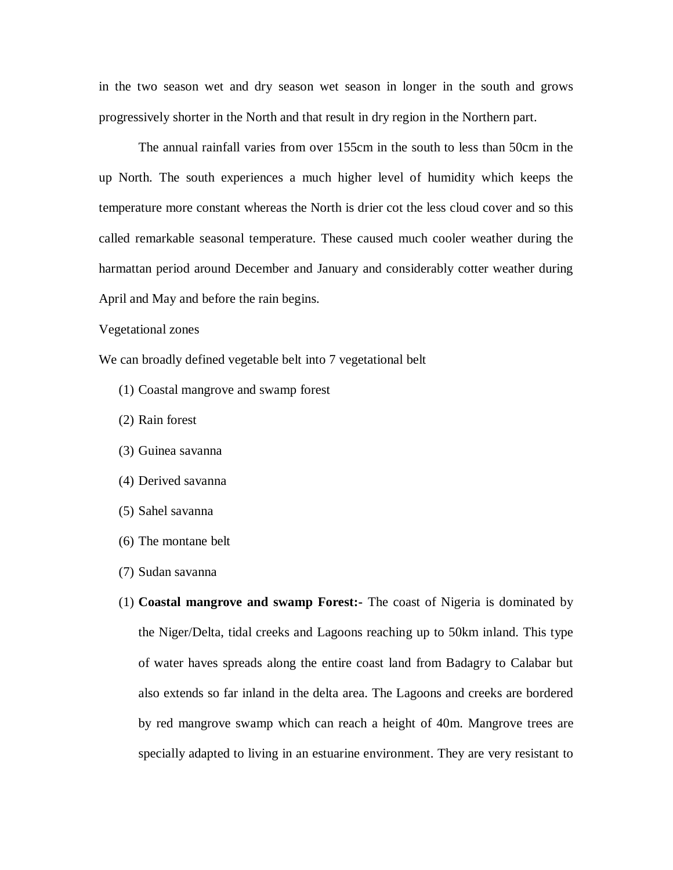in the two season wet and dry season wet season in longer in the south and grows progressively shorter in the North and that result in dry region in the Northern part.

The annual rainfall varies from over 155cm in the south to less than 50cm in the up North. The south experiences a much higher level of humidity which keeps the temperature more constant whereas the North is drier cot the less cloud cover and so this called remarkable seasonal temperature. These caused much cooler weather during the harmattan period around December and January and considerably cotter weather during April and May and before the rain begins.

### Vegetational zones

We can broadly defined vegetable belt into 7 vegetational belt

- (1) Coastal mangrove and swamp forest
- (2) Rain forest
- (3) Guinea savanna
- (4) Derived savanna
- (5) Sahel savanna
- (6) The montane belt
- (7) Sudan savanna
- (1) **Coastal mangrove and swamp Forest:-** The coast of Nigeria is dominated by the Niger/Delta, tidal creeks and Lagoons reaching up to 50km inland. This type of water haves spreads along the entire coast land from Badagry to Calabar but also extends so far inland in the delta area. The Lagoons and creeks are bordered by red mangrove swamp which can reach a height of 40m. Mangrove trees are specially adapted to living in an estuarine environment. They are very resistant to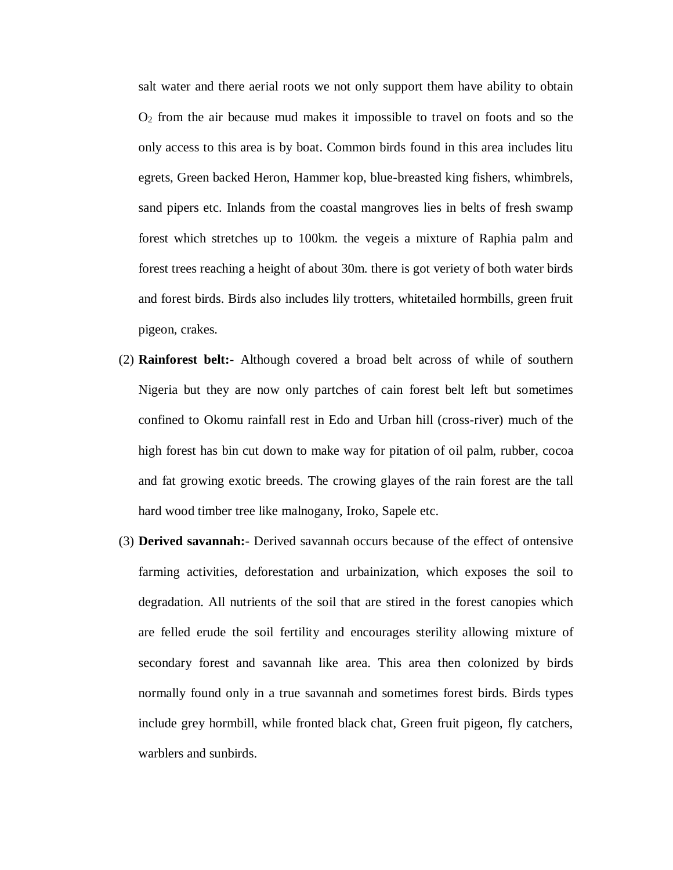salt water and there aerial roots we not only support them have ability to obtain  $O<sub>2</sub>$  from the air because mud makes it impossible to travel on foots and so the only access to this area is by boat. Common birds found in this area includes litu egrets, Green backed Heron, Hammer kop, blue-breasted king fishers, whimbrels, sand pipers etc. Inlands from the coastal mangroves lies in belts of fresh swamp forest which stretches up to 100km. the vegeis a mixture of Raphia palm and forest trees reaching a height of about 30m. there is got veriety of both water birds and forest birds. Birds also includes lily trotters, whitetailed hormbills, green fruit pigeon, crakes.

- (2) **Rainforest belt:** Although covered a broad belt across of while of southern Nigeria but they are now only partches of cain forest belt left but sometimes confined to Okomu rainfall rest in Edo and Urban hill (cross-river) much of the high forest has bin cut down to make way for pitation of oil palm, rubber, cocoa and fat growing exotic breeds. The crowing glayes of the rain forest are the tall hard wood timber tree like malnogany, Iroko, Sapele etc.
- (3) **Derived savannah:** Derived savannah occurs because of the effect of ontensive farming activities, deforestation and urbainization, which exposes the soil to degradation. All nutrients of the soil that are stired in the forest canopies which are felled erude the soil fertility and encourages sterility allowing mixture of secondary forest and savannah like area. This area then colonized by birds normally found only in a true savannah and sometimes forest birds. Birds types include grey hormbill, while fronted black chat, Green fruit pigeon, fly catchers, warblers and sunbirds.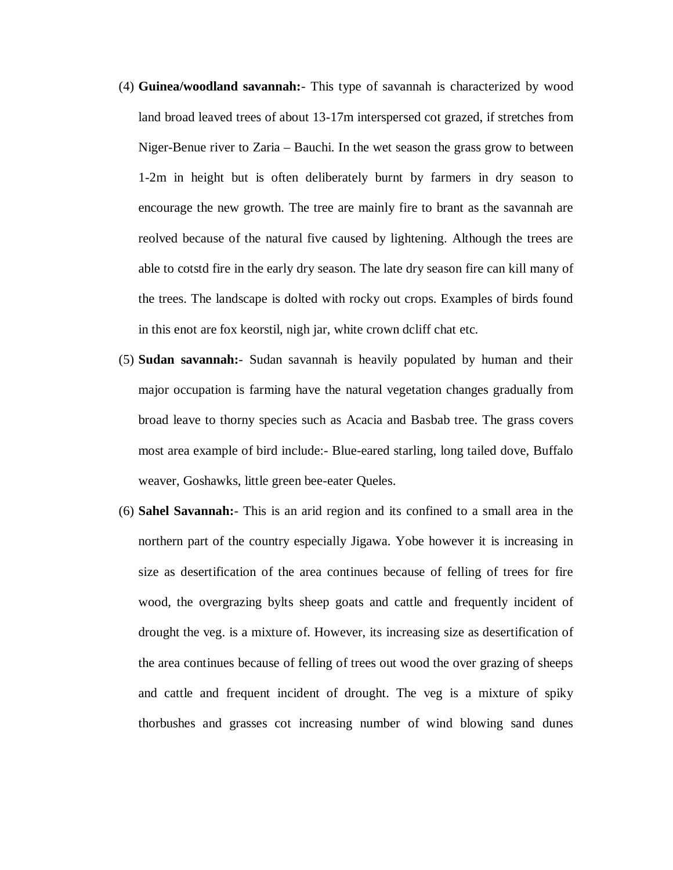- (4) **Guinea/woodland savannah:** This type of savannah is characterized by wood land broad leaved trees of about 13-17m interspersed cot grazed, if stretches from Niger-Benue river to Zaria – Bauchi. In the wet season the grass grow to between 1-2m in height but is often deliberately burnt by farmers in dry season to encourage the new growth. The tree are mainly fire to brant as the savannah are reolved because of the natural five caused by lightening. Although the trees are able to cotstd fire in the early dry season. The late dry season fire can kill many of the trees. The landscape is dolted with rocky out crops. Examples of birds found in this enot are fox keorstil, nigh jar, white crown dcliff chat etc.
- (5) **Sudan savannah:** Sudan savannah is heavily populated by human and their major occupation is farming have the natural vegetation changes gradually from broad leave to thorny species such as Acacia and Basbab tree. The grass covers most area example of bird include:- Blue-eared starling, long tailed dove, Buffalo weaver, Goshawks, little green bee-eater Queles.
- (6) **Sahel Savannah:** This is an arid region and its confined to a small area in the northern part of the country especially Jigawa. Yobe however it is increasing in size as desertification of the area continues because of felling of trees for fire wood, the overgrazing bylts sheep goats and cattle and frequently incident of drought the veg. is a mixture of. However, its increasing size as desertification of the area continues because of felling of trees out wood the over grazing of sheeps and cattle and frequent incident of drought. The veg is a mixture of spiky thorbushes and grasses cot increasing number of wind blowing sand dunes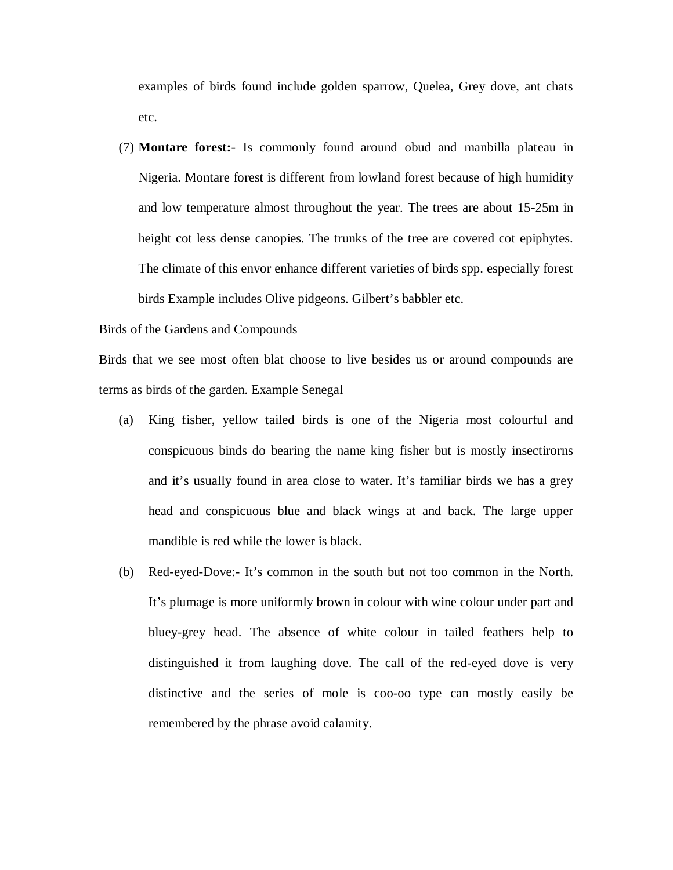examples of birds found include golden sparrow, Quelea, Grey dove, ant chats etc.

(7) **Montare forest:**- Is commonly found around obud and manbilla plateau in Nigeria. Montare forest is different from lowland forest because of high humidity and low temperature almost throughout the year. The trees are about 15-25m in height cot less dense canopies. The trunks of the tree are covered cot epiphytes. The climate of this envor enhance different varieties of birds spp. especially forest birds Example includes Olive pidgeons. Gilbert's babbler etc.

# Birds of the Gardens and Compounds

Birds that we see most often blat choose to live besides us or around compounds are terms as birds of the garden. Example Senegal

- (a) King fisher, yellow tailed birds is one of the Nigeria most colourful and conspicuous binds do bearing the name king fisher but is mostly insectirorns and it's usually found in area close to water. It's familiar birds we has a grey head and conspicuous blue and black wings at and back. The large upper mandible is red while the lower is black.
- (b) Red-eyed-Dove:- It's common in the south but not too common in the North. It's plumage is more uniformly brown in colour with wine colour under part and bluey-grey head. The absence of white colour in tailed feathers help to distinguished it from laughing dove. The call of the red-eyed dove is very distinctive and the series of mole is coo-oo type can mostly easily be remembered by the phrase avoid calamity.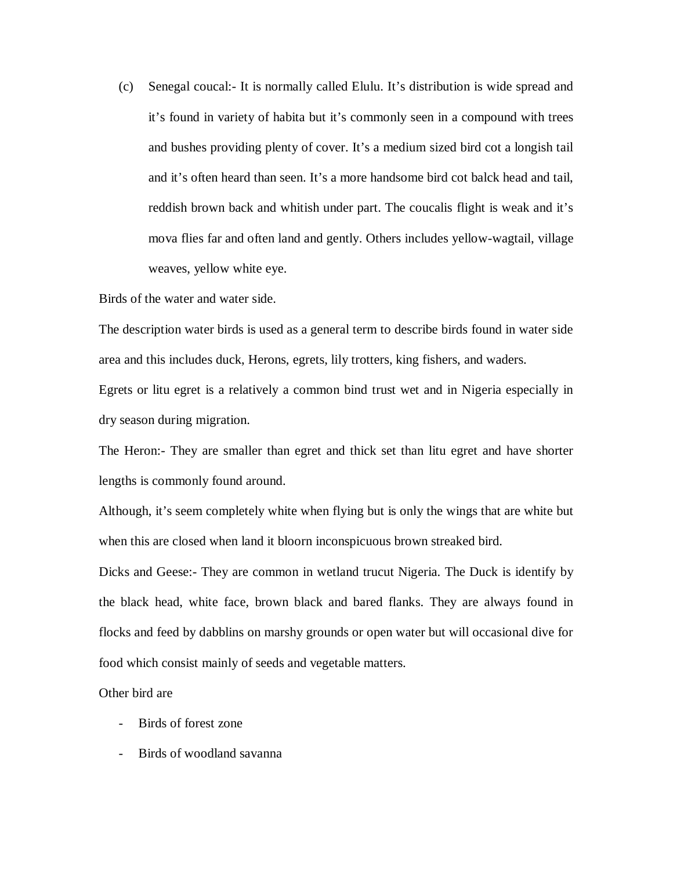(c) Senegal coucal:- It is normally called Elulu. It's distribution is wide spread and it's found in variety of habita but it's commonly seen in a compound with trees and bushes providing plenty of cover. It's a medium sized bird cot a longish tail and it's often heard than seen. It's a more handsome bird cot balck head and tail, reddish brown back and whitish under part. The coucalis flight is weak and it's mova flies far and often land and gently. Others includes yellow-wagtail, village weaves, yellow white eye.

Birds of the water and water side.

The description water birds is used as a general term to describe birds found in water side area and this includes duck, Herons, egrets, lily trotters, king fishers, and waders.

Egrets or litu egret is a relatively a common bind trust wet and in Nigeria especially in dry season during migration.

The Heron:- They are smaller than egret and thick set than litu egret and have shorter lengths is commonly found around.

Although, it's seem completely white when flying but is only the wings that are white but when this are closed when land it bloorn inconspicuous brown streaked bird.

Dicks and Geese:- They are common in wetland trucut Nigeria. The Duck is identify by the black head, white face, brown black and bared flanks. They are always found in flocks and feed by dabblins on marshy grounds or open water but will occasional dive for food which consist mainly of seeds and vegetable matters.

Other bird are

- Birds of forest zone
- Birds of woodland savanna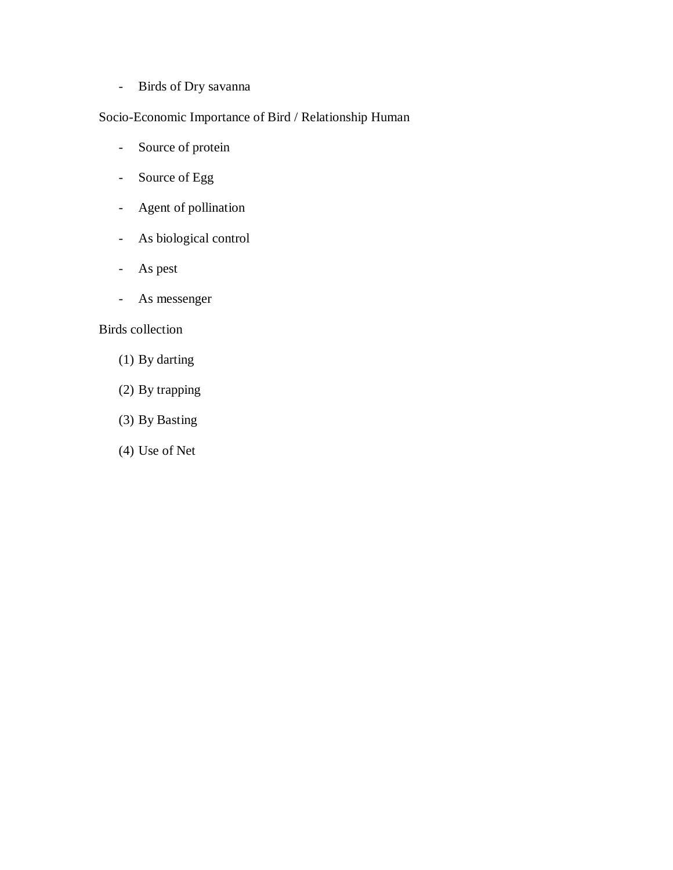- Birds of Dry savanna

# Socio-Economic Importance of Bird / Relationship Human

- Source of protein
- Source of Egg
- Agent of pollination
- As biological control
- As pest
- As messenger

# Birds collection

- (1) By darting
- (2) By trapping
- (3) By Basting
- (4) Use of Net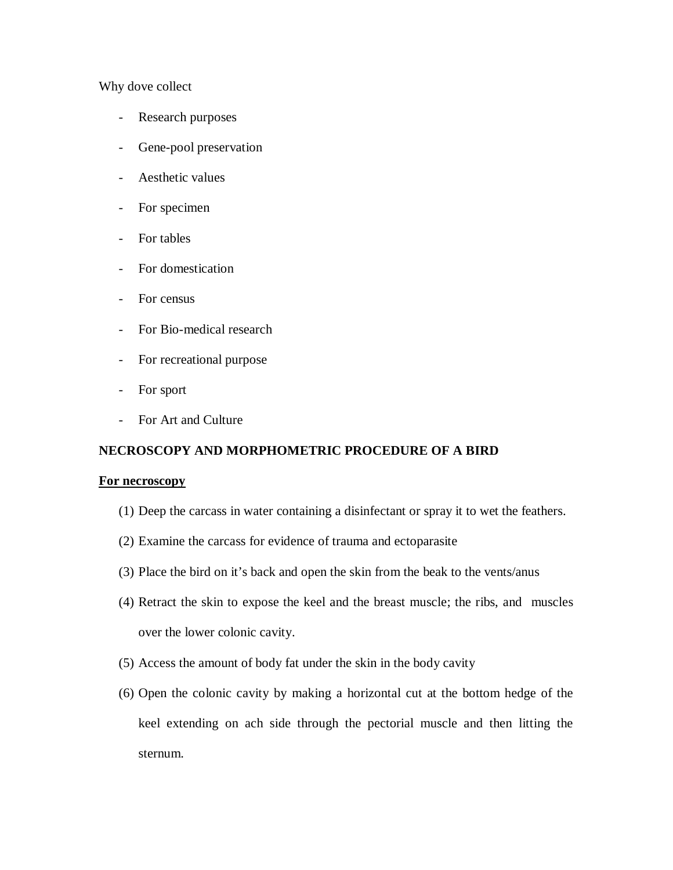# Why dove collect

- Research purposes
- Gene-pool preservation
- Aesthetic values
- For specimen
- For tables
- For domestication
- For census
- For Bio-medical research
- For recreational purpose
- For sport
- For Art and Culture

# **NECROSCOPY AND MORPHOMETRIC PROCEDURE OF A BIRD**

# **For necroscopy**

- (1) Deep the carcass in water containing a disinfectant or spray it to wet the feathers.
- (2) Examine the carcass for evidence of trauma and ectoparasite
- (3) Place the bird on it's back and open the skin from the beak to the vents/anus
- (4) Retract the skin to expose the keel and the breast muscle; the ribs, and muscles over the lower colonic cavity.
- (5) Access the amount of body fat under the skin in the body cavity
- (6) Open the colonic cavity by making a horizontal cut at the bottom hedge of the keel extending on ach side through the pectorial muscle and then litting the sternum.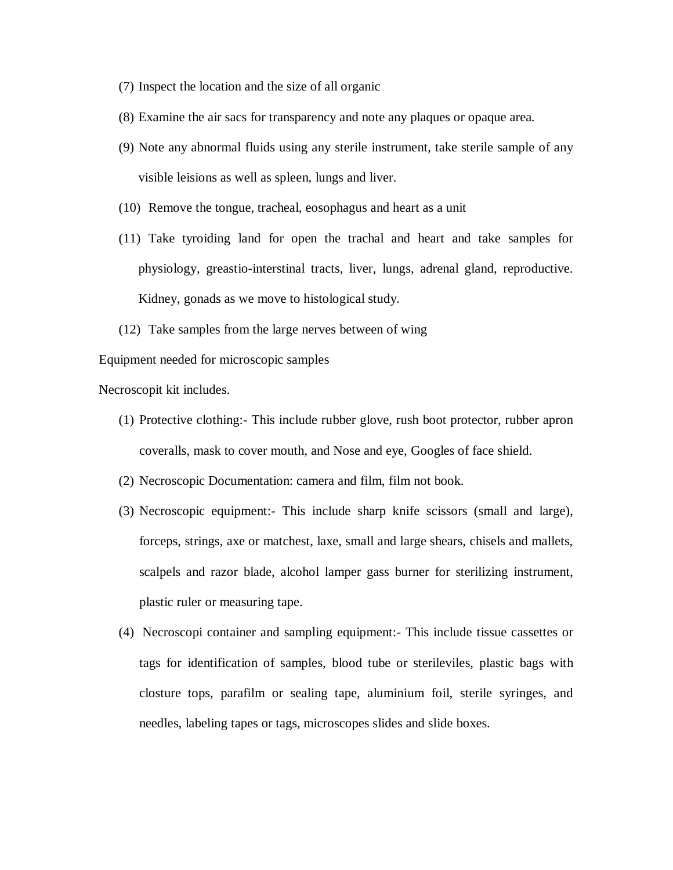- (7) Inspect the location and the size of all organic
- (8) Examine the air sacs for transparency and note any plaques or opaque area.
- (9) Note any abnormal fluids using any sterile instrument, take sterile sample of any visible leisions as well as spleen, lungs and liver.
- (10) Remove the tongue, tracheal, eosophagus and heart as a unit
- (11) Take tyroiding land for open the trachal and heart and take samples for physiology, greastio-interstinal tracts, liver, lungs, adrenal gland, reproductive. Kidney, gonads as we move to histological study.
- (12) Take samples from the large nerves between of wing

Equipment needed for microscopic samples

Necroscopit kit includes.

- (1) Protective clothing:- This include rubber glove, rush boot protector, rubber apron coveralls, mask to cover mouth, and Nose and eye, Googles of face shield.
- (2) Necroscopic Documentation: camera and film, film not book.
- (3) Necroscopic equipment:- This include sharp knife scissors (small and large), forceps, strings, axe or matchest, laxe, small and large shears, chisels and mallets, scalpels and razor blade, alcohol lamper gass burner for sterilizing instrument, plastic ruler or measuring tape.
- (4) Necroscopi container and sampling equipment:- This include tissue cassettes or tags for identification of samples, blood tube or sterileviles, plastic bags with closture tops, parafilm or sealing tape, aluminium foil, sterile syringes, and needles, labeling tapes or tags, microscopes slides and slide boxes.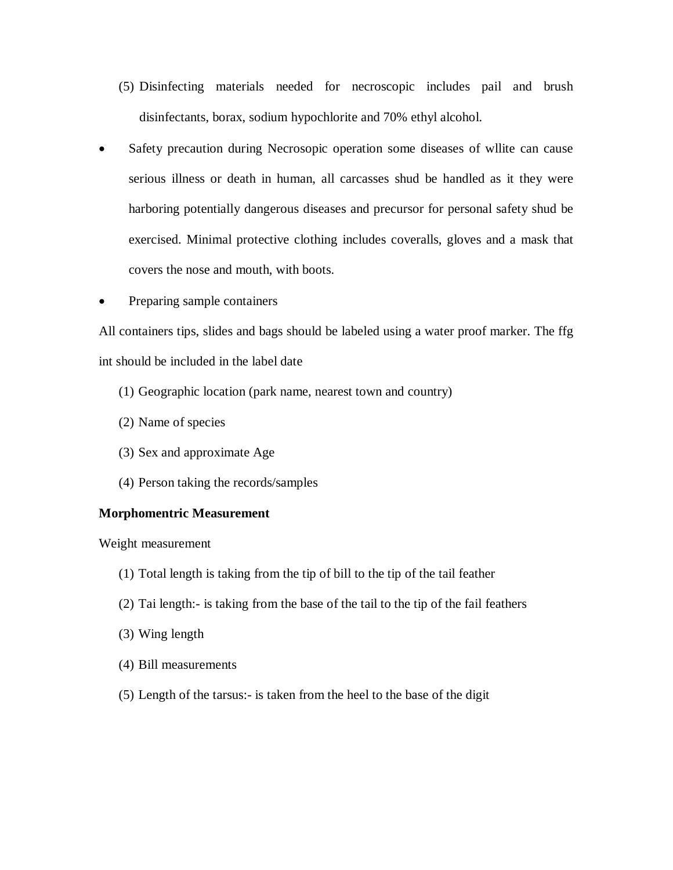- (5) Disinfecting materials needed for necroscopic includes pail and brush disinfectants, borax, sodium hypochlorite and 70% ethyl alcohol.
- Safety precaution during Necrosopic operation some diseases of wllite can cause serious illness or death in human, all carcasses shud be handled as it they were harboring potentially dangerous diseases and precursor for personal safety shud be exercised. Minimal protective clothing includes coveralls, gloves and a mask that covers the nose and mouth, with boots.
- Preparing sample containers

All containers tips, slides and bags should be labeled using a water proof marker. The ffg int should be included in the label date

- (1) Geographic location (park name, nearest town and country)
- (2) Name of species
- (3) Sex and approximate Age
- (4) Person taking the records/samples

# **Morphomentric Measurement**

Weight measurement

- (1) Total length is taking from the tip of bill to the tip of the tail feather
- (2) Tai length:- is taking from the base of the tail to the tip of the fail feathers
- (3) Wing length
- (4) Bill measurements
- (5) Length of the tarsus:- is taken from the heel to the base of the digit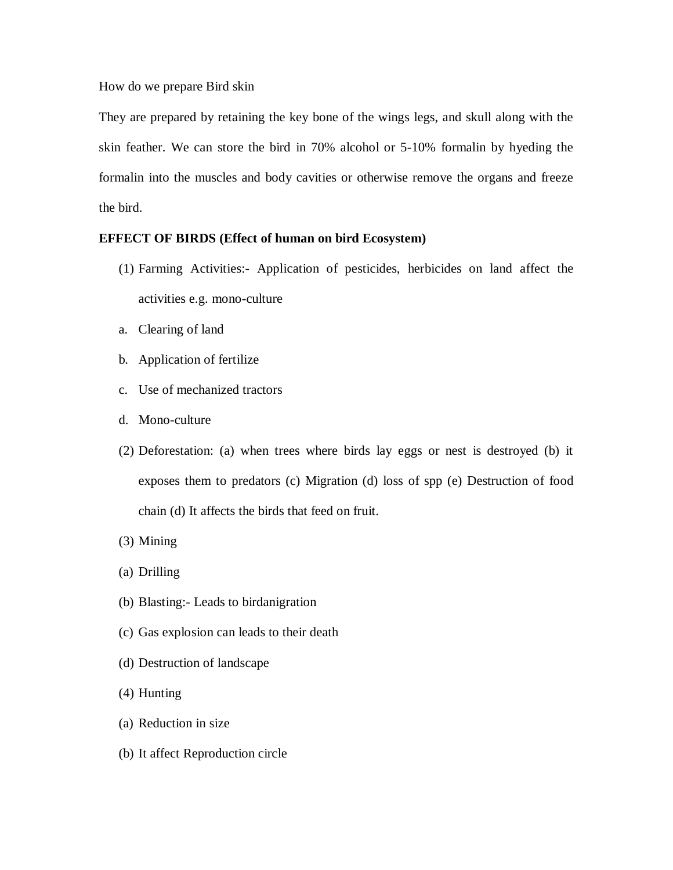How do we prepare Bird skin

They are prepared by retaining the key bone of the wings legs, and skull along with the skin feather. We can store the bird in 70% alcohol or 5-10% formalin by hyeding the formalin into the muscles and body cavities or otherwise remove the organs and freeze the bird.

# **EFFECT OF BIRDS (Effect of human on bird Ecosystem)**

- (1) Farming Activities:- Application of pesticides, herbicides on land affect the activities e.g. mono-culture
- a. Clearing of land
- b. Application of fertilize
- c. Use of mechanized tractors
- d. Mono-culture
- (2) Deforestation: (a) when trees where birds lay eggs or nest is destroyed (b) it exposes them to predators (c) Migration (d) loss of spp (e) Destruction of food chain (d) It affects the birds that feed on fruit.
- (3) Mining
- (a) Drilling
- (b) Blasting:- Leads to birdanigration
- (c) Gas explosion can leads to their death
- (d) Destruction of landscape
- (4) Hunting
- (a) Reduction in size
- (b) It affect Reproduction circle